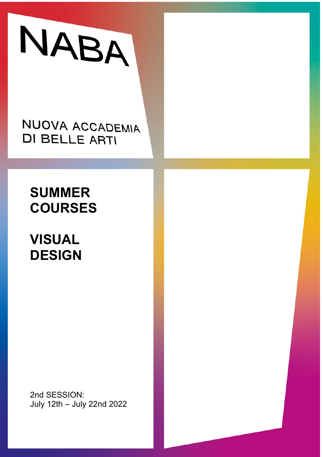

NUOVA ACCADEMIA **DI BELLE ARTI** 

## **SUMMER COURSES**

# **VISUAL DESIGN**

2nd SESSION: July 12th – July 22nd 2022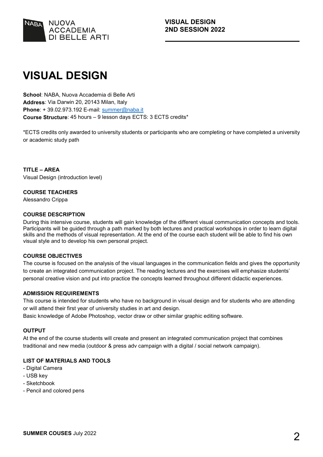

## **VISUAL DESIGN**

**School**: NABA, Nuova Accademia di Belle Arti **Address**: Via Darwin 20, 20143 Milan, Italy **Phone**: + 39.02.973.192 E-mail: [summer@naba.it](mailto:summer@naba.it) **Course Structure**: 45 hours – 9 lesson days ECTS: 3 ECTS credits\*

\*ECTS credits only awarded to university students or participants who are completing or have completed a university or academic study path

**TITLE – AREA** Visual Design (introduction level)

#### **COURSE TEACHERS**

Alessandro Crippa

#### **COURSE DESCRIPTION**

During this intensive course, students will gain knowledge of the different visual communication concepts and tools. Participants will be guided through a path marked by both lectures and practical workshops in order to learn digital skills and the methods of visual representation. At the end of the course each student will be able to find his own visual style and to develop his own personal project.

#### **COURSE OBJECTIVES**

The course is focused on the analysis of the visual languages in the communication fields and gives the opportunity to create an integrated communication project. The reading lectures and the exercises will emphasize students' personal creative vision and put into practice the concepts learned throughout different didactic experiences.

#### **ADMISSION REQUIREMENTS**

This course is intended for students who have no background in visual design and for students who are attending or will attend their first year of university studies in art and design.

Basic knowledge of Adobe Photoshop, vector draw or other similar graphic editing software.

#### **OUTPUT**

At the end of the course students will create and present an integrated communication project that combines traditional and new media (outdoor & press adv campaign with a digital / social network campaign).

#### **LIST OF MATERIALS AND TOOLS**

- Digital Camera
- USB key
- Sketchbook
- Pencil and colored pens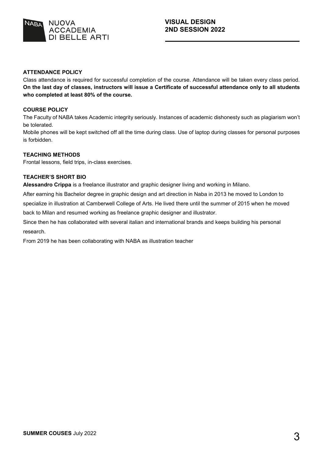

#### **ATTENDANCE POLICY**

Class attendance is required for successful completion of the course. Attendance will be taken every class period. **On the last day of classes, instructors will issue a Certificate of successful attendance only to all students who completed at least 80% of the course.**

#### **COURSE POLICY**

The Faculty of NABA takes Academic integrity seriously. Instances of academic dishonesty such as plagiarism won't be tolerated.

Mobile phones will be kept switched off all the time during class. Use of laptop during classes for personal purposes is forbidden.

#### **TEACHING METHODS**

Frontal lessons, field trips, in-class exercises.

#### **TEACHER'S SHORT BIO**

**Alessandro Crippa** is a freelance illustrator and graphic designer living and working in Milano.

After earning his Bachelor degree in graphic design and art direction in Naba in 2013 he moved to London to specialize in illustration at Camberwell College of Arts. He lived there until the summer of 2015 when he moved back to Milan and resumed working as freelance graphic designer and illustrator.

Since then he has collaborated with several italian and international brands and keeps building his personal research.

From 2019 he has been collaborating with NABA as illustration teacher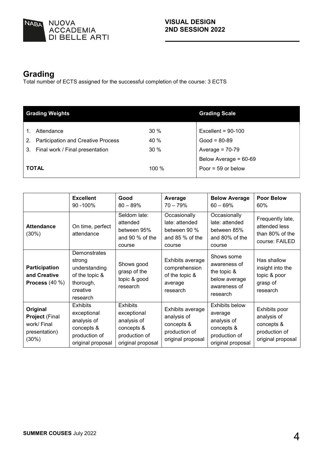

### **Grading**

Total number of ECTS assigned for the successful completion of the course: 3 ECTS

| <b>Grading Weights</b>                                                                   |             | <b>Grading Scale</b>                |
|------------------------------------------------------------------------------------------|-------------|-------------------------------------|
| Attendance                                                                               | 30%         | Excellent = $90-100$                |
| <b>Participation and Creative Process</b><br>2.<br>Final work / Final presentation<br>3. | 40 %<br>30% | $Good = 80-89$<br>Average = $70-79$ |
|                                                                                          |             | Below Average = 60-69               |
| <b>TOTAL</b>                                                                             | 100 %       | Poor = $59$ or below                |

|                                                                            | <b>Excellent</b><br>90 - 100%                                                                     | Good<br>$80 - 89%$                                                                                | Average<br>$70 - 79%$                                                               | <b>Below Average</b><br>$60 - 69\%$                                                                 | <b>Poor Below</b><br>60%                                                         |
|----------------------------------------------------------------------------|---------------------------------------------------------------------------------------------------|---------------------------------------------------------------------------------------------------|-------------------------------------------------------------------------------------|-----------------------------------------------------------------------------------------------------|----------------------------------------------------------------------------------|
| <b>Attendance</b><br>(30%)                                                 | On time, perfect<br>attendance                                                                    | Seldom late:<br>attended<br>between 95%<br>and 90 % of the<br>course                              | Occasionally<br>late: attended<br>between 90 %<br>and 85 % of the<br>course         | Occasionally<br>late: attended<br>between 85%<br>and 80% of the<br>course                           | Frequently late,<br>attended less<br>than 80% of the<br>course: FAILED           |
| <b>Participation</b><br>and Creative<br>Process $(40\%)$                   | Demonstrates<br>strong<br>understanding<br>of the topic &<br>thorough,<br>creative<br>research    | Shows good<br>grasp of the<br>topic & good<br>research                                            | Exhibits average<br>comprehension<br>of the topic &<br>average<br>research          | Shows some<br>awareness of<br>the topic &<br>below average<br>awareness of<br>research              | Has shallow<br>insight into the<br>topic & poor<br>grasp of<br>research          |
| Original<br><b>Project (Final</b><br>work/ Final<br>presentation)<br>(30%) | <b>Exhibits</b><br>exceptional<br>analysis of<br>concepts &<br>production of<br>original proposal | <b>Exhibits</b><br>exceptional<br>analysis of<br>concepts &<br>production of<br>original proposal | Exhibits average<br>analysis of<br>concepts &<br>production of<br>original proposal | <b>Exhibits below</b><br>average<br>analysis of<br>concepts &<br>production of<br>original proposal | Exhibits poor<br>analysis of<br>concepts &<br>production of<br>original proposal |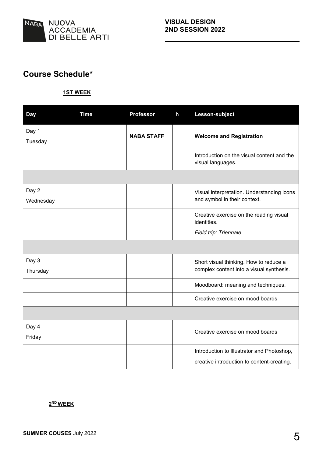

### **Course Schedule\***

#### **1ST WEEK**

| <b>Day</b> | <b>Time</b> | <b>Professor</b>  | h | Lesson-subject                                                  |
|------------|-------------|-------------------|---|-----------------------------------------------------------------|
| Day 1      |             | <b>NABA STAFF</b> |   | <b>Welcome and Registration</b>                                 |
| Tuesday    |             |                   |   |                                                                 |
|            |             |                   |   | Introduction on the visual content and the<br>visual languages. |
|            |             |                   |   |                                                                 |
| Day 2      |             |                   |   | Visual interpretation. Understanding icons                      |
| Wednesday  |             |                   |   | and symbol in their context.                                    |
|            |             |                   |   | Creative exercise on the reading visual<br>identities.          |
|            |             |                   |   | Field trip: Triennale                                           |
|            |             |                   |   |                                                                 |
| Day 3      |             |                   |   | Short visual thinking. How to reduce a                          |
| Thursday   |             |                   |   | complex content into a visual synthesis.                        |
|            |             |                   |   | Moodboard: meaning and techniques.                              |
|            |             |                   |   | Creative exercise on mood boards                                |
|            |             |                   |   |                                                                 |
| Day 4      |             |                   |   | Creative exercise on mood boards                                |
| Friday     |             |                   |   |                                                                 |
|            |             |                   |   | Introduction to Illustrator and Photoshop,                      |
|            |             |                   |   | creative introduction to content-creating.                      |

#### **2ND WEEK**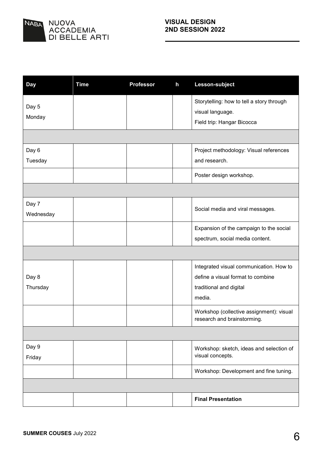

| <b>Day</b> | <b>Time</b> | <b>Professor</b> | $\mathsf{h}$ | Lesson-subject                                                          |
|------------|-------------|------------------|--------------|-------------------------------------------------------------------------|
|            |             |                  |              | Storytelling: how to tell a story through                               |
| Day 5      |             |                  |              | visual language.                                                        |
| Monday     |             |                  |              | Field trip: Hangar Bicocca                                              |
|            |             |                  |              |                                                                         |
| Day 6      |             |                  |              | Project methodology: Visual references                                  |
| Tuesday    |             |                  |              | and research.                                                           |
|            |             |                  |              | Poster design workshop.                                                 |
|            |             |                  |              |                                                                         |
| Day 7      |             |                  |              | Social media and viral messages.                                        |
| Wednesday  |             |                  |              |                                                                         |
|            |             |                  |              | Expansion of the campaign to the social                                 |
|            |             |                  |              | spectrum, social media content.                                         |
|            |             |                  |              |                                                                         |
|            |             |                  |              | Integrated visual communication. How to                                 |
| Day 8      |             |                  |              | define a visual format to combine                                       |
| Thursday   |             |                  |              | traditional and digital                                                 |
|            |             |                  |              | media.                                                                  |
|            |             |                  |              | Workshop (collective assignment): visual<br>research and brainstorming. |
|            |             |                  |              |                                                                         |
| Day 9      |             |                  |              | Workshop: sketch, ideas and selection of                                |
| Friday     |             |                  |              | visual concepts.                                                        |
|            |             |                  |              | Workshop: Development and fine tuning.                                  |
|            |             |                  |              |                                                                         |
|            |             |                  |              | <b>Final Presentation</b>                                               |